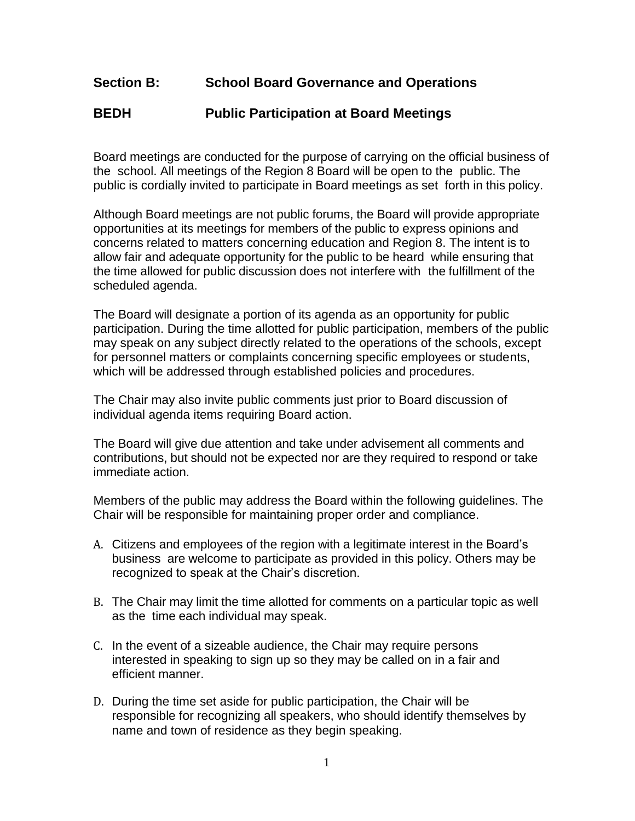## **Section B: School Board Governance and Operations**

## **BEDH Public Participation at Board Meetings**

Board meetings are conducted for the purpose of carrying on the official business of the school. All meetings of the Region 8 Board will be open to the public. The public is cordially invited to participate in Board meetings as set forth in this policy.

Although Board meetings are not public forums, the Board will provide appropriate opportunities at its meetings for members of the public to express opinions and concerns related to matters concerning education and Region 8. The intent is to allow fair and adequate opportunity for the public to be heard while ensuring that the time allowed for public discussion does not interfere with the fulfillment of the scheduled agenda.

The Board will designate a portion of its agenda as an opportunity for public participation. During the time allotted for public participation, members of the public may speak on any subject directly related to the operations of the schools, except for personnel matters or complaints concerning specific employees or students, which will be addressed through established policies and procedures.

The Chair may also invite public comments just prior to Board discussion of individual agenda items requiring Board action.

The Board will give due attention and take under advisement all comments and contributions, but should not be expected nor are they required to respond or take immediate action.

Members of the public may address the Board within the following guidelines. The Chair will be responsible for maintaining proper order and compliance.

- A. Citizens and employees of the region with a legitimate interest in the Board's business are welcome to participate as provided in this policy. Others may be recognized to speak at the Chair's discretion.
- B. The Chair may limit the time allotted for comments on a particular topic as well as the time each individual may speak.
- C. In the event of a sizeable audience, the Chair may require persons interested in speaking to sign up so they may be called on in a fair and efficient manner.
- D. During the time set aside for public participation, the Chair will be responsible for recognizing all speakers, who should identify themselves by name and town of residence as they begin speaking.